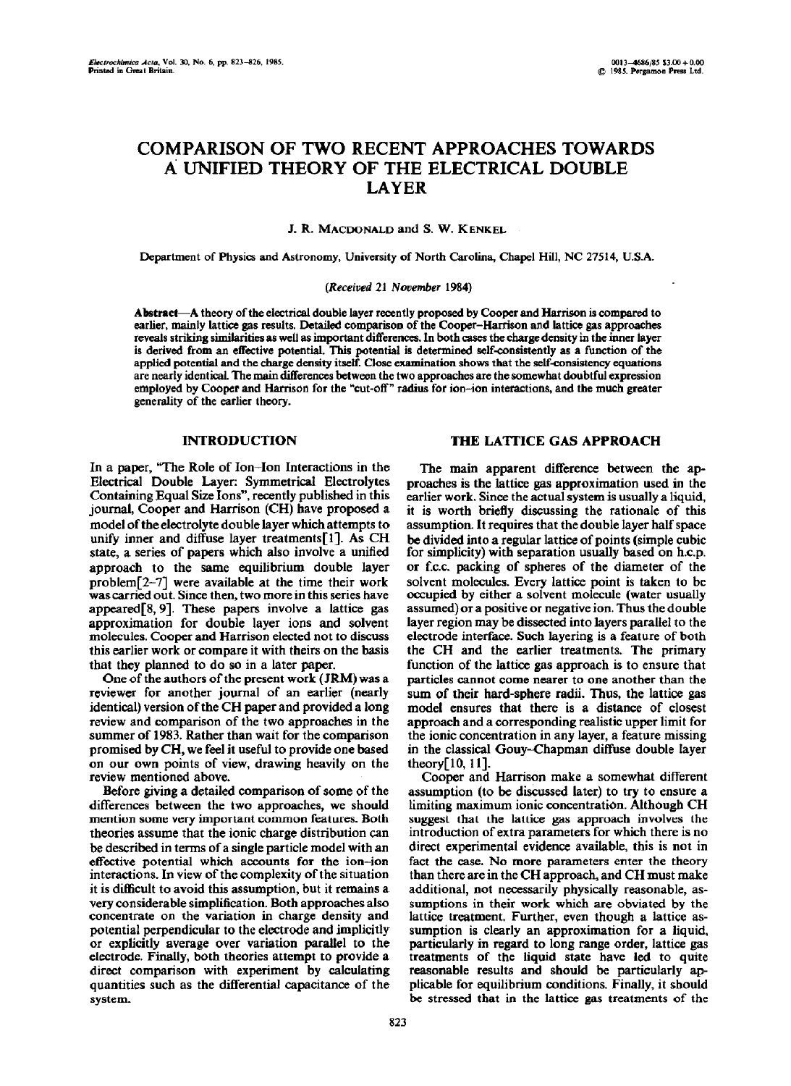# **COMPARISON OF TWO RECENT APPROACHES TOWARDS A' UNIFIED THEORY OF THE ELECTRICAL DOUBLE LAYER**

J. R. **MACDONALD** and S. W. **KENKEL** 

**Department of Physics and Astronomy, University of North Carolina, Chapel Hill, NC 27514, U.S.A.** 

#### *(Received* **21 November 1984)**

Abstract—A theory of the electrical double layer recently proposed by Cooper and Harrison is compared to earlier, mainly lattice gas results. Detailed comparison of the Cooper-Harrison and lattice gas approaches **reveals striking similarities as well as important diffcrcnccs.** In **both cases the charge density in the inner layer**  is derived from an effective potential. This potential is determined self-consistently as a function of the applied potential and the charge density itself. Close examination shows that the self-consistency equations **are nearly identical The main differences between the two approaches are the somewhat doubtful expression employcd by Cooper and Harrison for the "cut-off" radius for ion-ion interactions, and the much greater generality of the earlier theory.** 

## **INTRODUCTION**

**In a paper, "The** Role of Ion-Ion Interactions in the Electrical **Double Layer: Symmetrical Electrolytes Containing Equal Size Ions", recently published in this journal,** Cooper and Harrison (CH) have proposed a model of the electrolyte double layer which attempts to unify inner and diffuse layer treatments[l]. As CH state, a series of papers which also involve a unified approach to the same equilibrium double layer problem[2-71 were available at the time their work was carried out. Since then, two more in this series have appeared[8,9]. These papers involve a lattice gas approximation for double layer ions and solvent molecules. Cooper and Harrison elected not to discuss this earlier work or compare it with theirs on the basis that they planned to do **SO** in a later paper.

One of the authors of the present work (JRM) was a reviewer for another journal of an earlier (nearly identical) version of the CH paper and provided a long review and comparison of the two approaches in the summer of 1983. Rather than **wait** for **the** comparison promised by CH, we feel it useful to provide one based on our **own points** of view, drawing heavily on the review mentioned above.

Before giving a detailed comparison of some of the differences between the two approaches, we should mention some very important common features. Both theories assume that the ionic charge distribution can be described in terms of a single particle model with an effective potential which accounts for the ion-ion interactions. In view of the complexity of the situation it is difficult to avoid this assumption, but it remains a very considerable simplification. Both approaches also concentrate on the variation in charge density and potential perpendicular to the electrode and implicitly **or** explicitly average over variation parallel to the electrode. Finally, both theories attempt to provide a direct comparison with experiment by calculating **quantities** such as the differential capacitance of the system.

# **THE LATTICE GAS APPROACH**

**The.** main apparent difference between the approaches is the lattice gas approximation used in the earlier work. Since the actual system is usually a liquid, it is worth briefly discussing the rationale of this assumption. It requires that the double layer half space be divided into a regular lattice of points (simple cubic for simplicity) with separation usually based on h.c.o. or f.c.c: packing of spheres of the diameter of the solvent molecules. Every lattice point is taken to be occupied by either a solvent molecule **(water usually assumed) or a positive** or negative ion. Thus the double layer region may be dissected into layers parallel to the electrode interface. Such layering is a feature of both the CH and the earlier treatments. The primary function of the lattice gas approach is to ensure that particles cannot come nearer to one another than the sum of their hard-sphere radii. Thus, the lattice gas model ensures that there is a distance of closest approach and a corresponding realistic upper limit for the ionic concentration in any layer, a feature missing in the classical Gouy-Chapman diffuse double iayer theory[lO, 111.

Cooper and Harrison make a somewhat different assumption (to be discussed later) to try to ensure a limiting maximum ionic concentration. Although CH suggest that the lattice gas approach involves the introduction of extra parameters for which there is no direct experimental evidence available, this is not in fact the case. No more parameters enter the theory than there are in the **CH** approach, and CH must make additional, not necessarily physically reasonable, assumptions in their work which are obviated by the lattice treatment. Further, even though a lattice assumption is clearly an approximation for a liquid, particularly in regard to long range order, lattice gas treatments of the liquid state have led to quite reasonable results and should be particularly-applicable for equilibrium conditions. Finally, it should be **stressed** that in the lattice gas treatments of the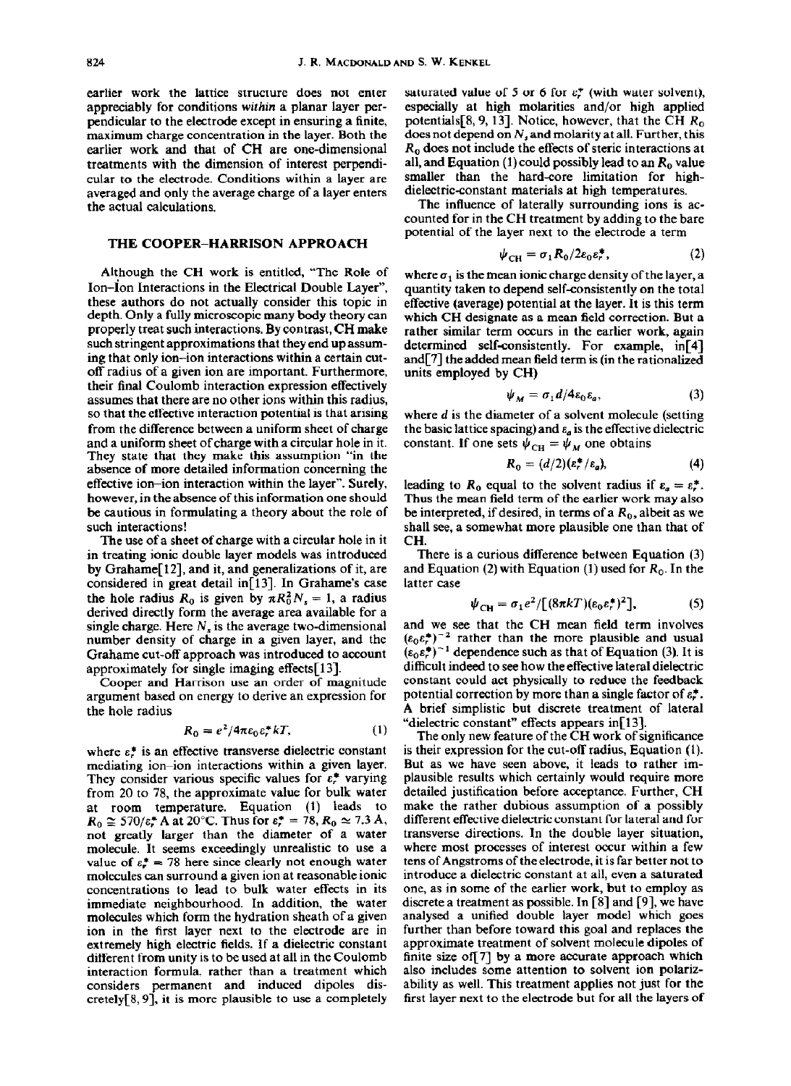earlier work the lattice structure does not enter appreciably for conditions within a planar layer perpendicular to the electrode except in ensuring a finite, maximum charge concentration in the layer. Both the earlier work and that of CH are one-dimensional treatments with the dimension of interest perpendicular to the electrode. Conditions within a layer are averaged and only the average charge of a layer enters the actual calculations.

# THE COOPER-HARRISON APPROACH

Although the CH work is entitled, "The Role of Ion-Ion Interactions in the Electrical Double Layer", these authors do not actually consider this topic in depth. Only a fully microscopic many body theory can properly treat such interactions. By contrast, CH make such stringent approximations that they end **up** assuming that only ion-ion interactions within a certain cutoff radius of a **given** ion are important. Furthermore, their final Coulomb interaction expression effectively assumes that there are no other ions within this radius, so that the effective interaction potential is that arising from the difference between a uniform sheet of charge and a uniform sheet of charge with a circular hole in it. They state that they make this assumption "in the absence of more detailed information concerning the effective ion-ion interaction within the layer". Surely, however, in the absence of this information one should be cautious in formulating a theory about the role of such interactions!

The use of a sheet of charge with a circular hole in it in treating ionic double layer models was introduced by Grahame[12], and it, and generalizations of it, are considered in great detail in[13]. In Grahame's case the hole radius  $R_0$  is given by  $\pi R_0^2 N_s = 1$ , a radius derived directly form the average area available for a single charge. Here  $N_s$  is the average two-dimensional number density of charge in a given layer, and the Grahame cut-off approach was introduced to account approximately for single imaging effects  $[13]$ .

Cooper and Harrison use an order of magnitude argument based on energy to derive an expression for the hole radius

$$
R_0 = e^2/4\pi\epsilon_0 \epsilon_r^* kT, \qquad (1)
$$

where  $\varepsilon^*$  is an effective transverse dielectric constant mediating ion-ion interactions within a given **layer.**  They consider various specific values for  $\varepsilon_r^*$  varying from 20 to 78, the approximate value for bulk water at room temperature. Equation (I) leads to  $R_0 \cong 570/\epsilon^*$  A at 20°C. Thus for  $\epsilon^* = 78$ ,  $R_0 \approx 7.3$  A, not greatly larger than the diameter of a water molecule. It seems exceedingly unrealistic to use a value of  $\varepsilon_r^* = 78$  here since clearly not enough water molecules can surround a given ion at reasonable ionic concentrations to lead to bulk water effects in its immediate neighbourhood. In addition, the water molecules which form the hydration sheath of a given ion in the first layer next to the electrode are in extremely high electric fields. If **a** dielectric constant different from **unity** is to be used at all in the Coulomb interaction formula. rather than a treatment which considers permanent and induced dipoles discretely[8,9], it is more plausible to use a completely

saturated value of 5 or 6 for  $\varepsilon^*$ , (with water solvent), especially at high molarities and/or high applied potentials<sup>[8, 9, 13]. Notice, however, that the CH  $R_0$ </sup> does not depend on  $N_s$  and molarity at all. Further, this *R,* **does not** include the effects of steric interactions at all, and Equation (1) could possibly lead to an  $R_0$  value smaller than the hard-core limitation for highdielectric-constant materials at high temperatures.

**The** influence of laterally surrounding ions is accounted for in the CH treatment by adding to the bare potential of the layer next to the electrode a term

$$
\psi_{\text{CH}} = \sigma_1 R_0 / 2 \varepsilon_0 \varepsilon_r^*, \tag{2}
$$

where  $\sigma_1$  is the mean ionic charge density of the layer, a **quantity** taken to depend self-consistently on the total effective (average) potential at the layer. It is this term which CH designate as a mean field correction. But a **rather** similar term occurs in the earlier work, again determined self-consistently. For example, in[4] and  $[7]$  the added mean field term is (in the rationalized units employed by CH)

$$
\psi_M = \sigma_1 d/4 \varepsilon_0 \varepsilon_a, \qquad (3)
$$

where *d* is the diameter of a **solvent** molecule (setting the basic lattice spacing) and  $\varepsilon_a$  is the effective dielectric constant. If one sets  $\psi_{\text{CH}} = \psi_M$  one obtains

$$
\mathbf{R}_0 = (d/2)(\varepsilon_r^* / \varepsilon_a), \tag{4}
$$

leading to  $R_0$  equal to the solvent radius if  $\varepsilon_n = \varepsilon^*$ . Thus the mean field term of the earlier work may also be interpreted, if desired, in terms of a  $R_0$ , albeit as we shall see, a somewhat more plausible one than that of CH.

There is a curious difference between Equation (3) and Equation (2) with Equation (1) used for *Ro.* In the latter case

$$
\psi_{\text{CH}} = \sigma_1 e^2 / [(8\pi k) (\epsilon_0 \epsilon_r^*)^2], \tag{5}
$$

and we see that the CH **mean** field term involves  $(\epsilon_0 \epsilon_r^*)^{-2}$  rather than the more plausible and usual  $(\epsilon_0 \epsilon_r^*)^{-1}$  dependence such as that of Equation (3). It is difficult indeed to see how the effective lateral dielectric constant could act physically to reduce the **feedback**  potential correction by more than a single factor of  $\varepsilon_r^*$ . A brief simplistic but discrete treatment of lateral "dielectric constant" effects appears in[13].

The only new feature of the CH work of significance is their expression for the cut-off radius, Equation (1). But as we have seen above, it leads to rather implausible results which certainly would require **more**  detailed justification before acceptance. Further, CH make the rather dubious assumption of **a** possibly different effective dielectric constant for lateral and for transverse directions. In the double layer situation, where most processes of interest occur within a few tens of **Angstroms** of the electrode, it is far better not to introduce a dielectric constant at all, even a saturated one, as in some of the earlier work, but to employ as discrete a treatment as possible. In [S] and [9], we have analysed a unified double layer model which goes further than **before** toward this goal and replaces the approximate treatment of solvent molecule dipoles of finite size of  $7$ ] by a more accurate approach which also includes some attention to solvent ion polarizability as well. This treatment applies not just for the first layer next to the electrode but for all the layers of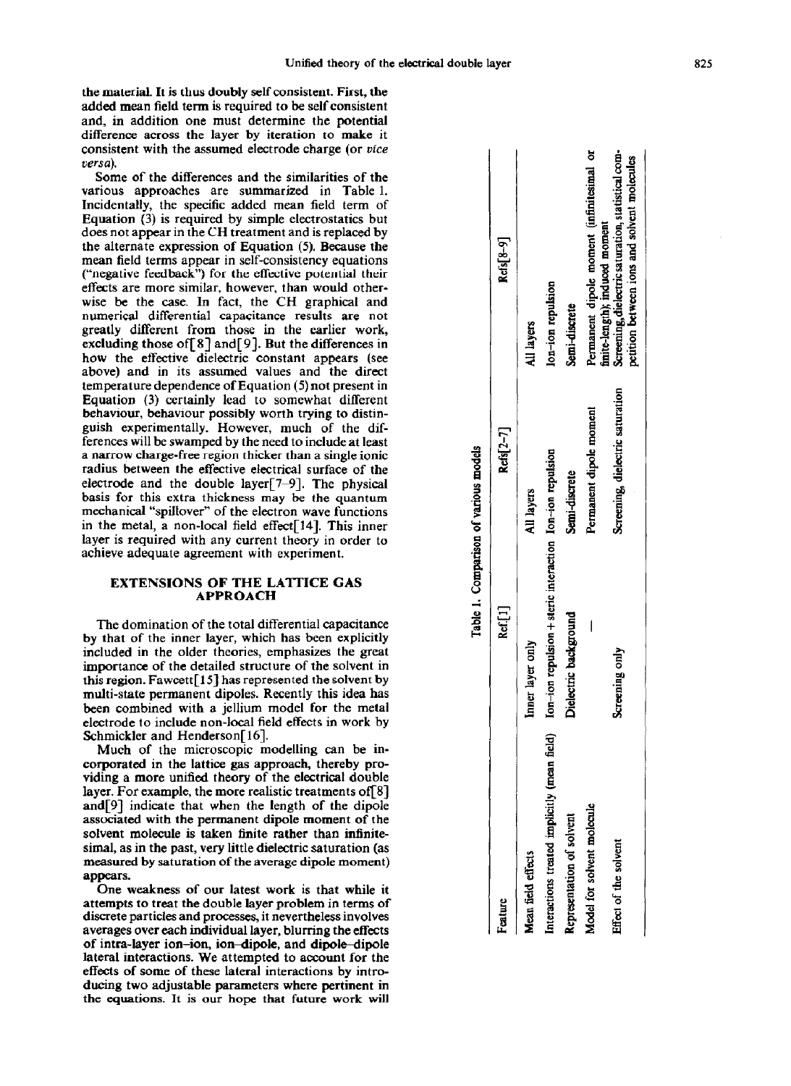**the material. It is thus doubly** self consistent. First, the added mean field term is required to be self consistent and, in addition one must determine the potential difference across the layer by iteration to make it consistent with the assumed electrode charge (or vice versa).

Some of the differences and the similarities of the various approaches are summarized in Table 1. Incidentally, the specific added mean field term of Equation (3) is required by simple electrostatics but does not appear in the CH treatment and is replaced by the alternate expression **of Equation (5). Because the mean field terms** appear in self-consistency equations ("negative feedback") for the effective potential their effects are more similar, **however,** than would otherwise be the case. In fact, the CH graphical and numerical differential capacitance results are not greatly different from those in the earlier work, **excluding those** of[ X] and[ 91. But the differences in how the effective dielectric constant appears (see above) and in its assumed values and the direct temperature dependence of Equation (5) not present in Equation (3) certainly lead to somewhat different behaviour, behaviour possibly worth trying to distinguish experimentally. **However,** much of the differences will be **swamped** by the need to include at **least**  a narrow charge-free region thicker than a single ionic radius between the effective electrical surface of the electrode and the double layer[7-9]. The physical basis for this extra thickness may be the quantum mechanical "spiltover" of the electron wave functions in the metal, a non-local field effect[14]. This inner layer is required with any current theory in order to achieve adequate agreement with experiment.

## EXTENSIONS OF THE LATTICE GAS APPROACH

The domination of the total differential capacitance by that of the **inner** layer, which has been explicitly included in the older theories, emphasizes the great importance of the detailed structure of the solvent in this region. Fawcett $[15]$  has represented the solvent by multi-state permanent dipoles. Recently this idea has been combined with a jellium model for the metal electrode to include **non-local** field effects in work by Schmickler and Henderson[16].

Much of the microscopic modelling can be incorporated in the lattice gas approach, thereby providing a more unified theory of the electrical double layer. For example, the more realistic treatments of  $[8]$ and[9] indicate that when the length of the dipole associated with the permanent **dipole moment of the solvent molecule is taken finite rather than infinitesimal, as in the past, very** little **dielectric** saturation (as measured by saturation of the average dipole moment) appears.

One weakness of our latest work is that **while it attempts to** treat the double layer problem in terms of discrete particles and processes, it nevertheless involves averages over each individual layer, blurring the effects of intra-layer ion-ion, ion-dipole, and dipole-dipole lateral interactions. We attempted to account for the effects of some of these lateral interactions by intro**ducing two adjustable parameters where pertinent in the equations. It** is our hope that future work will

|                                                                                                      | Table 1. Comparison of various models |                                  |                                                                                                                                     |
|------------------------------------------------------------------------------------------------------|---------------------------------------|----------------------------------|-------------------------------------------------------------------------------------------------------------------------------------|
| <b>cature</b>                                                                                        | kef[1]                                | $\text{Res}[2-7]$                | $Res[8-9]$                                                                                                                          |
| Mean field effects                                                                                   | Inner layer only                      | All layers                       | All layers                                                                                                                          |
| nteractions treated implicitly (mean field) Ion-ion repulsion + steric interaction Ion-ion repulsion |                                       |                                  | lon-ion repulsion                                                                                                                   |
| <b>Representation of solvent</b>                                                                     | Dielectric background                 | Semi-discrete                    | Semi-discrete                                                                                                                       |
| Model for solvent molecule                                                                           |                                       | Permanent dipole moment          | Permanent dipole moment (infinitesimal or                                                                                           |
| ffiect of the solvent                                                                                | Screening only                        | Screening, dielectric saturation | finite-length); induced moment<br>Screening, dielectric saturation, statistical com-<br>petition between ions and solvent molecules |
|                                                                                                      |                                       |                                  |                                                                                                                                     |